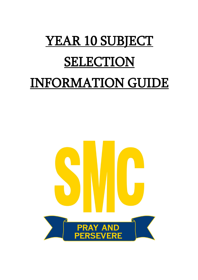# YEAR 10 SUBJECT **SELECTION** INFORMATION GUIDE

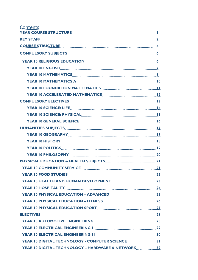| <b>Contents</b><br>YEAR COURSE STRUCTURE <b>Example 20</b> YEAR COURSE STRUCTURE |  |
|----------------------------------------------------------------------------------|--|
| <b>KEY STAFF</b> 2                                                               |  |
| COURSE STRUCTURE 4                                                               |  |
|                                                                                  |  |
|                                                                                  |  |
|                                                                                  |  |
|                                                                                  |  |
|                                                                                  |  |
|                                                                                  |  |
|                                                                                  |  |
|                                                                                  |  |
|                                                                                  |  |
|                                                                                  |  |
|                                                                                  |  |
|                                                                                  |  |
|                                                                                  |  |
|                                                                                  |  |
|                                                                                  |  |
| <b>YEAR 10 PHILOSOPHY</b> 20 20                                                  |  |
|                                                                                  |  |
|                                                                                  |  |
|                                                                                  |  |
|                                                                                  |  |
| <b>YEAR 10 HOSPITALITY</b> 24                                                    |  |
|                                                                                  |  |
|                                                                                  |  |
|                                                                                  |  |
|                                                                                  |  |
|                                                                                  |  |
|                                                                                  |  |
|                                                                                  |  |
|                                                                                  |  |
|                                                                                  |  |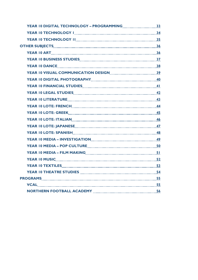| YEAR 10 DIGITAL TECHNOLOGY - PROGRAMMING [[[[[[[[[[[[[[[[[[[]]]]]]]]] |  |
|-----------------------------------------------------------------------|--|
|                                                                       |  |
|                                                                       |  |
|                                                                       |  |
| <b>YEAR 10 ART</b> 36                                                 |  |
|                                                                       |  |
|                                                                       |  |
|                                                                       |  |
|                                                                       |  |
|                                                                       |  |
|                                                                       |  |
|                                                                       |  |
|                                                                       |  |
|                                                                       |  |
| <b>YEAR 10 LOTE: ITALIAN 46</b>                                       |  |
|                                                                       |  |
|                                                                       |  |
|                                                                       |  |
|                                                                       |  |
|                                                                       |  |
|                                                                       |  |
| <b>YEAR 10 TEXTILES</b> 23                                            |  |
| <b>YEAR 10 THEATRE STUDIES MANUAL CONSUMING SAMPLE STUDIES</b>        |  |
|                                                                       |  |
| VCAL 55                                                               |  |
|                                                                       |  |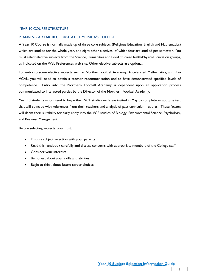## YEAR 10 COURSE STRUCTURE

#### PLANNING A YEAR 10 COURSE AT ST MONICA'S COLLEGE

A Year 10 Course is normally made up of three core subjects (Religious Education, English and Mathematics) which are studied for the whole year, and eight other electives, of which four are studied per semester. You must select elective subjects from the Science, Humanities and Food Studies/Health/Physical Education groups, as indicated on the Web Preferences web site. Other elective subjects are optional.

For entry to some elective subjects such as Norther Football Academy, Accelerated Mathematics, and Pre-VCAL, you will need to obtain a teacher recommendation and to have demonstrated specified levels of competence. Entry into the Northern Football Academy is dependent upon an application process communicated to interested parties by the Director of the Northern Football Academy.

Year 10 students who intend to begin their VCE studies early are invited in May to complete an aptitude test that will coincide with references from their teachers and analysis of past curriculum reports. These factors will deem their suitability for early entry into the VCE studies of Biology, Environmental Science, Psychology, and Business Management.

Before selecting subjects, you must:

- Discuss subject selection with your parents
- Read this handbook carefully and discuss concerns with appropriate members of the College staff
- Consider your interests
- Be honest about your skills and abilities
- Begin to think about future career choices.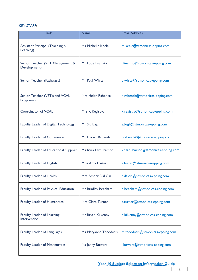# KEY STAFF:

| Role                                                    | <b>Name</b>            | <b>Email Address</b>               |
|---------------------------------------------------------|------------------------|------------------------------------|
| <b>Assistant Principal (Teaching &amp;</b><br>Learning) | Ms Michelle Keele      | m.keele@stmonicas-epping.com       |
| Senior Teacher (VCE Management &<br>Development)        | Mr Luca Finanzio       | l.finanzio@stmonicas-epping.com    |
| Senior Teacher (Pathways)                               | Mr Paul White          | p.white@stmonicas-epping.com       |
| Senior Teacher (VETis and VCAL<br>Programs)             | Mrs Helen Rabenda      | h.rabenda@stmonicas-epping.com     |
| <b>Coordinator of VCAL</b>                              | Mrs K Registro         | k.registro@stmonicas-epping.com    |
| <b>Faculty Leader of Digital Technology</b>             | Mr Sid Bagh            | s.bagh@stmonicas-epping.com        |
| <b>Faculty Leader of Commerce</b>                       | Mr Lukasz Rabenda      | I.rabenda@stmonicas-epping.com     |
| <b>Faculty Leader of Educational Support</b>            | Ms Kyra Farquharson    | k.farquharson@stmonicas-epping.com |
| <b>Faculty Leader of English</b>                        | <b>Miss Amy Foster</b> | a.foster@stmonicas-epping.com      |
| <b>Faculty Leader of Health</b>                         | Mrs Amber Dal Cin      | a.dalcin@stmonicas-epping.com      |
| Faculty Leader of Physical Education                    | Mr Bradley Beecham     | b.beecham@stmonicas-epping.com     |
| <b>Faculty Leader of Humanities</b>                     | Mrs Clare Turner       | c.turner@stmonicas-epping.com      |
| <b>Faculty Leader of Learning</b><br>Intervention       | Mr Bryan Kilkenny      | b.kilkenny@stmonicas-epping.com    |
| <b>Faculty Leader of Languages</b>                      | Ms Maryanne Theodosis  | m.theodosis@stmonicas-epping.com   |
| <b>Faculty Leader of Mathematics</b>                    | Ms Jenny Bowers        | j.bowers@stmonicas-epping.com      |

# **Year 10 Subject Selection Information Guide**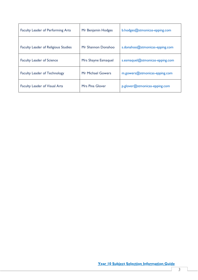| <b>Faculty Leader of Performing Arts</b>   | Mr Benjamin Hodges     | b.hodges@stmonicas-epping.com   |
|--------------------------------------------|------------------------|---------------------------------|
| <b>Faculty Leader of Religious Studies</b> | Mr Shannon Donahoo     | s.donahoo@stmonicas-epping.com  |
| <b>Faculty Leader of Science</b>           | Mrs Shayne Esmaquel    | s.esmaquel@stmonicas-epping.com |
| <b>Faculty Leader of Technology</b>        | Mr Michael Gowers      | $m.gowers@stmonicas-epping.com$ |
| <b>Faculty Leader of Visual Arts</b>       | <b>Mrs Pina Glover</b> | p.glover@stmonicas-epping.com   |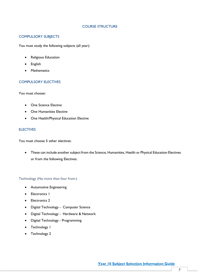## COURSE STRUCTURE

# COMPULSORY SUBJECTS

You must study the following subjects (all year):

- Religious Education
- English
- Mathematics

# COMPULSORY ELECTIVES

You must choose:

- One Science Elective
- One Humanities Elective
- One Health/Physical Education Elective

# **ELECTIVES**

You must choose 5 other electives:

• These can include another subject from the Science, Humanities, Health or Physical Education Electives or from the following Electives:

Technology (No more than four from:)

- Automotive Engineering
- Electronics 1
- Electronics 2
- Digital Technology Computer Science
- Digital Technology Hardware & Network
- Digital Technology Programming
- Technology 1
- Technology 2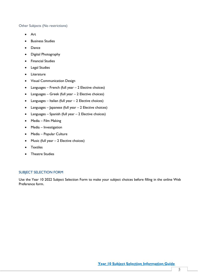# Other Subjects (No restrictions)

- Art
- **Business Studies**
- Dance
- Digital Photography
- Financial Studies
- Legal Studies
- Literature
- Visual Communication Design
- Languages French (full year 2 Elective choices)
- Languages Greek (full year 2 Elective choices)
- Languages Italian (full year 2 Elective choices)
- Languages Japanese (full year 2 Elective choices)
- Languages Spanish (full year 2 Elective choices)
- Media Film Making
- Media Investigation
- Media Popular Culture
- Music (full year  $-2$  Elective choices)
- Textiles
- **Theatre Studies**

# SUBJECT SELECTION FORM

Use the Year 10 2022 Subject Selection Form to make your subject choices before filling in the online Web Preference form.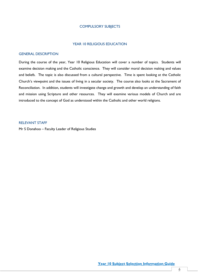# COMPULSORY SUBJECTS

#### YEAR 10 RELIGIOUS EDUCATION

#### GENERAL DESCRIPTION

During the course of the year, Year 10 Religious Education will cover a number of topics. Students will examine decision making and the Catholic conscience. They will consider moral decision making and values and beliefs. The topic is also discussed from a cultural perspective. Time is spent looking at the Catholic Church's viewpoint and the issues of living in a secular society. The course also looks at the Sacrament of Reconciliation. In addition, students will investigate change and growth and develop an understanding of faith and mission using Scripture and other resources. They will examine various models of Church and are introduced to the concept of God as understood within the Catholic and other world religions.

# RELEVANT STAFF

Mr S Donahoo – Faculty Leader of Religious Studies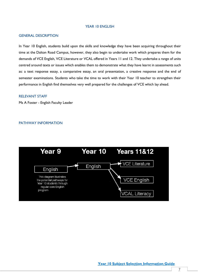#### YEAR 10 ENGLISH

#### GENERAL DESCRIPTION

In Year 10 English, students build upon the skills and knowledge they have been acquiring throughout their time at the Dalton Road Campus, however, they also begin to undertake work which prepares them for the demands of VCE English, VCE Literature or VCAL offered in Years 11 and 12. They undertake a range of units centred around texts or issues which enables them to demonstrate what they have learnt in assessments such as: a text response essay, a comparative essay, an oral presentation, a creative response and the end of semester examinations. Students who take the time to work with their Year 10 teacher to strengthen their performance in English find themselves very well prepared for the challenges of VCE which lay ahead.

## RELEVANT STAFF

Ms A Foster - English Faculty Leader

## PATHWAY INFORMATION

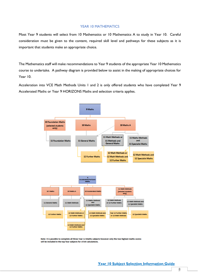## YEAR 10 MATHEMATICS

Most Year 9 students will select from 10 Mathematics or 10 Mathematics A to study in Year 10. Careful consideration must be given to the content, required skill level and pathways for these subjects as it is important that students make an appropriate choice.

The Mathematics staff will make recommendations to Year 9 students of the appropriate Year 10 Mathematics course to undertake. A pathway diagram is provided below to assist in the making of appropriate choices for Year 10.

Acceleration into VCE Math Methods Units 1 and 2 is only offered students who have completed Year 9 Accelerated Maths or Year 9 HORIZONS Maths and selection criteria applies.



Note: It is possible to complete all three Year 12 Maths subjects however only the two highest maths scores will be included in the top four subjects for ATAR calculations.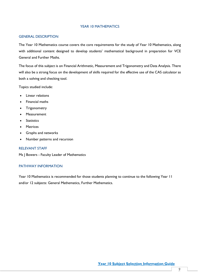# YEAR 10 MATHEMATICS

#### GENERAL DESCRIPTION

The Year 10 Mathematics course covers the core requirements for the study of Year 10 Mathematics, along with additional content designed to develop students' mathematical background in preparation for VCE General and Further Maths.

The focus of this subject is on Financial Arithmetic, Measurement and Trigonometry and Data Analysis. There will also be a strong focus on the development of skills required for the effective use of the CAS calculator as both a solving and checking tool.

Topics studied include:

- Linear relations
- Financial maths
- **Trigonometry**
- Measurement
- **Statistics**
- **Matrices**
- Graphs and networks
- Number patterns and recursion

#### RELEVANT STAFF

Ms J Bowers - Faculty Leader of Mathematics

# PATHWAY INFORMATION

Year 10 Mathematics is recommended for those students planning to continue to the following Year 11 and/or 12 subjects: General Mathematics, Further Mathematics.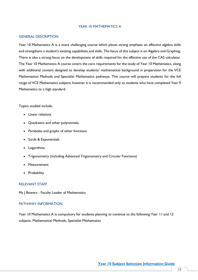## YEAR 10 MATHEMATICS A

#### GENERAL DESCRIPTION

Year 10 Mathematics A is a more challenging course which places strong emphasis on effective algebra skills and strengthens a student's existing capabilities and skills. The focus of this subject is on Algebra and Graphing. There is also a strong focus on the development of skills required for the effective use of the CAS calculator. The Year 10 Mathematics A course covers the core requirements for the study of Year 10 Mathematics, along with additional content designed to develop students' mathematical background in preparation for the VCE Mathematical Methods and Specialist Mathematics pathways. This course will prepare students for the full range of VCE Mathematics subjects however it is recommended only to students who have completed Year 9 Mathematics to a high standard.

#### Topics studied include:

- Linear relations
- Quadratics and other polynomials
- Parabolas and graphs of other functions
- Surds & Exponentials
- Logarithms
- Trigonometry (including Advanced Trigonometry and Circular Functions)
- Measurement
- Probability

## RELEVANT STAFF

Ms | Bowers - Faculty Leader of Mathematics

## PATHWAY INFORMATION

Year 10 Mathematics A is compulsory for students planning to continue to the following Year 11 and 12 subjects: Mathematical Methods, Specialist Mathematics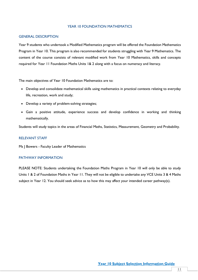## YEAR 10 FOUNDATION MATHEMATICS

### GENERAL DESCRIPTION

Year 9 students who undertook a Modified Mathematics program will be offered the Foundation Mathematics Program in Year 10. This program is also recommended for students struggling with Year 9 Mathematics. The content of the course consists of relevant modified work from Year 10 Mathematics, skills and concepts required for Year 11 Foundation Maths Units 1& 2 along with a focus on numeracy and literacy.

The main objectives of Year 10 Foundation Mathematics are to:

- Develop and consolidate mathematical skills using mathematics in practical contexts relating to everyday life, recreation, work and study;
- Develop a variety of problem-solving strategies;
- Gain a positive attitude, experience success and develop confidence in working and thinking mathematically.

Students will study topics in the areas of Financial Maths, Statistics, Measurement, Geometry and Probability.

### RELEVANT STAFF

Ms | Bowers - Faculty Leader of Mathematics

## PATHWAY INFORMATION

PLEASE NOTE: Students undertaking the Foundation Maths Program in Year 10 will only be able to study Units 1 & 2 of Foundation Maths in Year 11. They will not be eligible to undertake any VCE Units 3 & 4 Maths subject in Year 12. You should seek advice as to how this may affect your intended career pathway(s).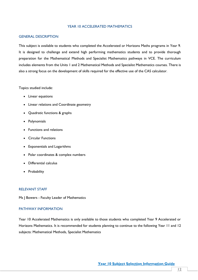## YEAR 10 ACCELERATED MATHEMATICS

#### GENERAL DESCRIPTION

This subject is available to students who completed the Accelerated or Horizons Maths programs in Year 9. It is designed to challenge and extend high performing mathematics students and to provide thorough preparation for the Mathematical Methods and Specialist Mathematics pathways in VCE. The curriculum includes elements from the Units 1 and 2 Mathematical Methods and Specialist Mathematics courses. There is also a strong focus on the development of skills required for the effective use of the CAS calculator.

Topics studied include:

- Linear equations
- Linear relations and Coordinate geometry
- Quadratic functions & graphs
- Polynomials
- Functions and relations
- Circular Functions
- Exponentials and Logarithms
- Polar coordinates & complex numbers
- Differential calculus
- Probability

#### RELEVANT STAFF

Ms | Bowers - Faculty Leader of Mathematics

## PATHWAY INFORMATION

Year 10 Accelerated Mathematics is only available to those students who completed Year 9 Accelerated or Horizons Mathematics. It is recommended for students planning to continue to the following Year 11 and 12 subjects: Mathematical Methods, Specialist Mathematics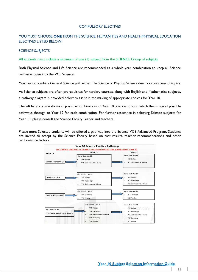## COMPULSORY ELECTIVES

# YOU MUST CHOOSE **ONE** FROM THE SCIENCE, HUMANITIES AND HEALTH/PHYSICAL EDUCATION ELECTIVES LISTED BELOW:

# SCIENCE SUBJECTS

All students must include a minimum of one (1) subject from the SCIENCE Group of subjects.

Both Physical Science and Life Science are recommended as a whole year combination to keep all Science pathways open into the VCE Sciences.

You cannot combine General Science with either Life Science or Physical Science due to a cross over of topics.

As Science subjects are often prerequisites for tertiary courses, along with English and Mathematics subjects, a pathway diagram is provided below to assist in the making of appropriate choices for Year 10.

The left hand column shows all possible combinations of Year 10 Science options, which then maps all possible pathways through to Year 12 for each combination. For further assistance in selecting Science subjects for Year 10, please consult the Science Faculty Leader and teachers.

Please note: Selected students will be offered a pathway into the Science VCE Advanced Program. Students are invited to accept by the Science Faculty based on past results, teacher recommendations and other performance factors.

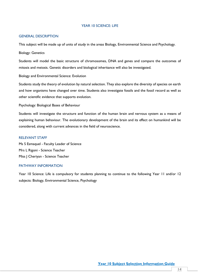## YEAR 10 SCIENCE: LIFE

#### GENERAL DESCRIPTION

This subject will be made up of units of study in the areas Biology, Environmental Science and Psychology.

Biology: Genetics

Students will model the basic structure of chromosomes, DNA and genes and compare the outcomes of mitosis and meiosis. Genetic disorders and biological inheritance will also be investigated.

Biology and Environmental Science: Evolution

Students study the theory of evolution by natural selection. They also explore the diversity of species on earth and how organisms have changed over time. Students also investigate fossils and the fossil record as well as other scientific evidence that supports evolution.

Psychology: Biological Bases of Behaviour

Students will investigate the structure and function of the human brain and nervous system as a means of explaining human behaviour. The evolutionary development of the brain and its effect on humankind will be considered, along with current advances in the field of neuroscience.

# RELEVANT STAFF

Ms S Esmaquel - Faculty Leader of Science Mrs L Rigoni - Science Teacher Miss J Cheriyan - Science Teacher

# PATHWAY INFORMATION

Year 10 Science: Life is compulsory for students planning to continue to the following Year 11 and/or 12 subjects: Biology, Environmental Science, Psychology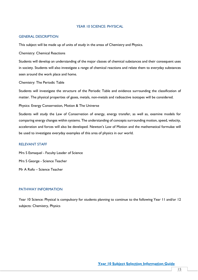## YEAR 10 SCIENCE: PHYSICAL

#### GENERAL DESCRIPTION

This subject will be made up of units of study in the areas of Chemistry and Physics.

Chemistry: Chemical Reactions

Students will develop an understanding of the major classes of chemical substances and their consequent uses in society. Students will also investigate a range of chemical reactions and relate them to everyday substances seen around the work place and home.

Chemistry: The Periodic Table

Students will investigate the structure of the Periodic Table and evidence surrounding the classification of matter. The physical properties of gases, metals, non-metals and radioactive isotopes will be considered.

Physics: Energy Conservation, Motion & The Universe

Students will study the Law of Conservation of energy, energy transfer, as well as, examine models for comparing energy changes within systems. The understanding of concepts surrounding motion, speed, velocity, acceleration and forces will also be developed. Newton's Law of Motion and the mathematical formulae will be used to investigate everyday examples of this area of physics in our world.

# RELEVANT STAFF

Mrs S Esmaquel - Faculty Leader of Science Mrs S George - Science Teacher Mr A Rofo – Science Teacher

## PATHWAY INFORMATION

Year 10 Science: Physical is compulsory for students planning to continue to the following Year 11 and/or 12 subjects: Chemistry, Physics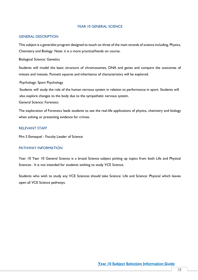## YEAR 10 GENERAL SCIENCE

#### GENERAL DESCRIPTION

This subject is a generalist program designed to touch on three of the main strands of science including, Physics, Chemistry and Biology. Note: it is a more practical/hands on course.

Biological Science: Genetics

Students will model the basic structure of chromosomes, DNA and genes and compare the outcomes of mitosis and meiosis. Punnett squares and inheritance of characteristics will be explored.

Psychology: Sport Psychology

Students will study the role of the human nervous system in relation to performance in sport. Students will also explore changes to the body due to the sympathetic nervous system.

General Science: Forensics

The exploration of Forensics leads students to see the real-life applications of physics, chemistry and biology when solving or presenting evidence for crimes.

## RELEVANT STAFF

Mrs S Esmaquel - Faculty Leader of Science

# PATHWAY INFORMATION

Year 10 Year 10 General Science is a broad Science subject picking up topics from both Life and Physical Sciences . It is not intended for students wishing to study VCE Science.

Students who wish to study any VCE Sciences should take Science: Life and Science: Physical which leaves open all VCE Science pathways.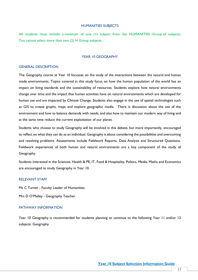#### HUMANITIES SUBJECTS

All students must include a minimum of one (1) subject from the HUMANITIES Group of subjects. You cannot select more than two (2) H Group subjects.

#### YEAR 10 GEOGRAPHY

#### GENERAL DESCRIPTION

The Geography course at Year 10 focusses on the study of the interactions between the natural and human made environments. Topics covered in this study focus on how the human population of the world has an impact on living standards and the sustainability of resources. Students explore how natural environments change over time and the impact that human activities have on natural environments which are developed for human use and are impacted by Climate Change. Students also engage in the use of spatial technologies such as GIS to create graphs, maps and explore geographic media. There is discussion about the use of the environment and how to balance demands with needs, and also how to maintain our modern way of living and at the same time reduce the current exploitation of our planet.

Students who choose to study Geography will be involved in this debate, but more importantly, encouraged to reflect on what they can do as an individual. Geography is about considering the possibilities and overcoming and resolving problems. Assessments include Fieldwork Reports, Data Analysis and Structured Questions. Fieldwork experiences of both human and natural environments are a key component of the study of Geography.

Students interested in the Sciences, Health & PE, IT, Food & Hospitality, Politics, Media, Maths and Economics are encouraged to study Geography in Year 10.

#### RELEVANT STAFF

Ms C Turner - Faculty Leader of Humanities

Mrs D O'Malley - Geography Teacher

## PATHWAY INFORMATION

Year 10 Geography is recommended for students planning to continue to the following Year 11 and/or 12 subjects: Geography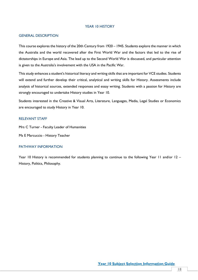#### YEAR 10 HISTORY

#### GENERAL DESCRIPTION

This course explores the history of the 20th Century from 1920 – 1945. Students explore the manner in which the Australia and the world recovered after the First World War and the factors that led to the rise of dictatorships in Europe and Asia. The lead up to the Second World War is discussed, and particular attention is given to the Australia's involvement with the USA in the Pacific War.

This study enhances a student's historical literacy and writing skills that are important for VCE studies. Students will extend and further develop their critical, analytical and writing skills for History. Assessments include analysis of historical sources, extended responses and essay writing. Students with a passion for History are strongly encouraged to undertake History studies in Year 10.

Students interested in the Creative & Visual Arts, Literature, Languages, Media, Legal Studies or Economics are encouraged to study History in Year 10.

## RELEVANT STAFF

Mrs C Turner - Faculty Leader of Humanities

Ms E Marcuccio - History Teacher

#### PATHWAY INFORMATION

Year 10 History is recommended for students planning to continue to the following Year 11 and/or 12 – History, Politics, Philosophy.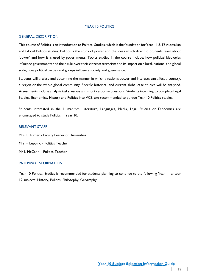#### YEAR 10 POLITICS

#### GENERAL DESCRIPTION

This course of Politics is an introduction to Political Studies, which is the foundation for Year 11 & 12 Australian and Global Politics studies. Politics is the study of power and the ideas which direct it. Students learn about 'power' and how it is used by governments. Topics studied in the course include: how political ideologies influence governments and their rule over their citizens; terrorism and its impact on a local, national and global scale; how political parties and groups influence society and governance.

Students will analyse and determine the manner in which a nation's power and interests can affect a country, a region or the whole global community. Specific historical and current global case studies will be analysed. Assessments include analysis tasks, essays and short response questions. Students intending to complete Legal Studies, Economics, History and Politics into VCE, are recommended to pursue Year 10 Politics studies.

Students interested in the Humanities, Literature, Languages, Media, Legal Studies or Economics are encouraged to study Politics in Year 10.

# RELEVANT STAFF

Mrs C Turner - Faculty Leader of Humanities Mrs H Luppino - Politics Teacher Mr L McCann – Politics Teacher

# PATHWAY INFORMATION

Year 10 Political Studies is recommended for students planning to continue to the following Year 11 and/or 12 subjects: History, Politics, Philosophy, Geography.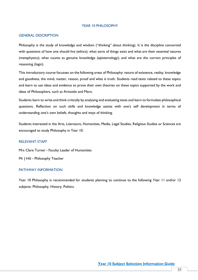#### YEAR 10 PHILOSOPHY

## GENERAL DESCRIPTION

Philosophy is the study of knowledge and wisdom ("thinking" about thinking). It is the discipline concerned with questions of how one should live (ethics); what sorts of things exist and what are their essential natures (metaphysics); what counts as genuine knowledge (epistemology); and what are the correct principles of reasoning (logic).

This introductory course focusses on the following areas of Philosophy: nature of existence, reality, knowledge and goodness, the mind, matter, reason, proof and what is truth. Students read texts related to these topics and learn to use ideas and evidence to prove their own theories on these topics supported by the work and ideas of Philosophers, such as Aristotle and Marx.

Students learn to write and think critically by analysing and evaluating texts and learn to formulate philosophical questions. Reflection on such skills and knowledge assists with one's self development in terms of understanding one's own beliefs, thoughts and ways of thinking.

Students interested in the Arts, Literature, Humanities, Media, Legal Studies, Religious Studies or Sciences are encouraged to study Philosophy in Year 10.

## RELEVANT STAFF

Mrs Clare Turner - Faculty Leader of Humanities

Mr | Hili - Philosophy Teacher

## PATHWAY INFORMATION

Year 10 Philosophy is recommended for students planning to continue to the following Year 11 and/or 12 subjects: Philosophy, History, Politics.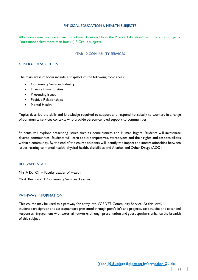## PHYSICAL EDUCATION & HEALTH SUBJECTS

All students must include a minimum of one (1) subject from the Physical Education/Health Group of subjects. You cannot select more than four (4) P Group subjects.

## YEAR 10 COMMUNITY SERVICES

### GENERAL DESCRIPTION

The main areas of focus include a snapshot of the following topic areas:

- Community Services Industry
- Diverse Communities
- Presenting issues
- Positive Relationships
- Mental Health.

Topics describe the skills and knowledge required to support and respond holistically to workers in a range of community services contexts who provide person-centred support to communities.

Students will explore presenting issues such as homelessness and Human Rights. Students will investigate diverse communities. Students will learn about perspectives, stereotypes and their rights and responsibilities within a community. By the end of the course students will identify the impact and interrelationships between issues relating to mental health, physical health, disabilities and Alcohol and Other Drugs (AOD).

## RELEVANT STAFF

Mrs A Dal Cin – Faculty Leader of Health Ms A Xerri – VET Community Services Teacher

## PATHWAY INFORMATION

This course may be used as a pathway for entry into VCE VET Community Service. At this level, student participation and assessment are presented through portfolio's and projects, case studies and extended responses. Engagement with external networks through presentation and guest speakers enhance the breadth of this subject.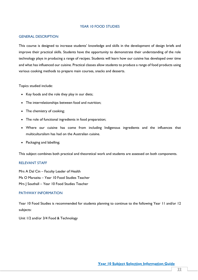## YEAR 10 FOOD STUDIES

## GENERAL DESCRIPTION

This course is designed to increase students' knowledge and skills in the development of design briefs and improve their practical skills. Students have the opportunity to demonstrate their understanding of the role technology plays in producing a range of recipes. Students will learn how our cuisine has developed over time and what has influenced our cuisine. Practical classes allow students to produce a range of food products using various cooking methods to prepare main courses, snacks and desserts.

Topics studied include:

- Key foods and the role they play in our diets;
- The interrelationships between food and nutrition;
- The chemistry of cooking;
- The role of functional ingredients in food preparation;
- Where our cuisine has come from including Indigenous ingredients and the influences that multiculturalism has had on the Australian cuisine.
- Packaging and labelling;

This subject combines both practical and theoretical work and students are assessed on both components.

## RELEVANT STAFF

Mrs A Dal Cin – Faculty Leader of Health Ms O Marazita – Year 10 Food Studies Teacher Mrs J Southall – Year 10 Food Studies Teacher

# PATHWAY INFORMATION

Year 10 Food Studies is recommended for students planning to continue to the following Year 11 and/or 12 subjects:

Unit 1/2 and/or 3/4 Food & Technology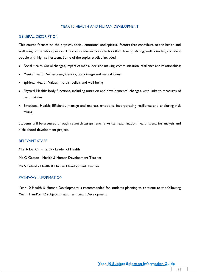## YEAR 10 HEALTH AND HUMAN DEVELOPMENT

## GENERAL DESCRIPTION

This course focuses on the physical, social, emotional and spiritual factors that contribute to the health and wellbeing of the whole person. The course also explores factors that develop strong, well rounded, confident people with high self esteem. Some of the topics studied included:

- Social Health: Social changes, impact of media, decision making, communication, resilience and relationships;
- Mental Health: Self esteem, identity, body image and mental illness
- Spiritual Health: Values, morals, beliefs and well-being
- Physical Health: Body functions, including nutrition and developmental changes, with links to measures of health status
- Emotional Health: Efficiently manage and express emotions, incorporating resilience and exploring risk taking.

Students will be assessed through research assignments, a written examination, health scenarios analysis and a childhood development project.

## RELEVANT STAFF

Mrs A Dal Cin - Faculty Leader of Health Ms O Getson - Health & Human Development Teacher Ms S Ireland - Health & Human Development Teacher

# PATHWAY INFORMATION

Year 10 Health & Human Development is recommended for students planning to continue to the following Year 11 and/or 12 subjects: Health & Human Development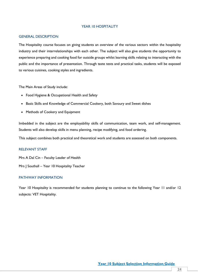## YEAR 10 HOSPITALITY

#### GENERAL DESCRIPTION

The Hospitality course focuses on giving students an overview of the various sectors within the hospitality industry and their interrelationships with each other. The subject will also give students the opportunity to experience preparing and cooking food for outside groups whilst learning skills relating to interacting with the public and the importance of presentation. Through taste tests and practical tasks, students will be exposed to various cuisines, cooking styles and ingredients.

The Main Areas of Study include:

- Food Hygiene & Occupational Health and Safety
- Basic Skills and Knowledge of Commercial Cookery, both Savoury and Sweet dishes
- Methods of Cookery and Equipment

Imbedded in the subject are the employability skills of communication, team work, and self-management. Students will also develop skills in menu planning, recipe modifying, and food ordering.

This subject combines both practical and theoretical work and students are assessed on both components.

## RELEVANT STAFF

Mrs A Dal Cin – Faculty Leader of Health

Mrs | Southall – Year 10 Hospitality Teacher

## PATHWAY INFORMATION

Year 10 Hospitality is recommended for students planning to continue to the following Year 11 and/or 12 subjects: VET Hospitality.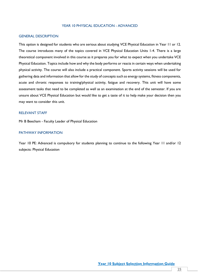## YEAR 10 PHYSICAL EDUCATION - ADVANCED

## GENERAL DESCRIPTION

This option is designed for students who are serious about studying VCE Physical Education in Year 11 or 12. The course introduces many of the topics covered in VCE Physical Education Units 1-4. There is a large theoretical component involved in this course as it prepares you for what to expect when you undertake VCE Physical Education. Topics include how and why the body performs or reacts in certain ways when undertaking physical activity. The course will also include a practical component. Sports activity sessions will be used for gathering data and information that allow for the study of concepts such as energy systems, fitness components, acute and chronic responses to training/physical activity, fatigue and recovery. This unit will have some assessment tasks that need to be completed as well as an examination at the end of the semester. If you are unsure about VCE Physical Education but would like to get a taste of it to help make your decision then you may want to consider this unit.

#### RELEVANT STAFF

Mr B Beecham - Faculty Leader of Physical Education

#### PATHWAY INFORMATION

Year 10 PE: Advanced is compulsory for students planning to continue to the following Year 11 and/or 12 subjects: Physical Education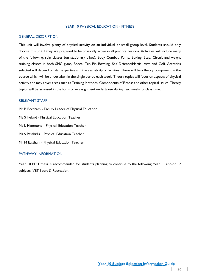## YEAR 10 PHYSICAL EDUCATION - FITNESS

## GENERAL DESCRIPTION

This unit will involve plenty of physical activity on an individual or small group level. Students should only choose this unit if they are prepared to be physically active in all practical lessons. Activities will include many of the following: spin classes (on stationary bikes), Body Combat, Pump, Boxing, Step, Circuit and weight training classes in both SMC gyms, Bocce, Ten Pin Bowling, Self Defence/Martial Arts and Golf. Activities selected will depend on staff expertise and the availability of facilities. There will be a theory component in the course which will be undertaken in the single period each week. Theory topics will focus on aspects of physical activity and may cover areas such as Training Methods, Components of Fitness and other topical issues. Theory topics will be assessed in the form of an assignment undertaken during two weeks of class time.

# RELEVANT STAFF

Mr B Beecham - Faculty Leader of Physical Education Ms S Ireland - Physical Education Teacher Ms L Hammond - Physical Education Teacher Ms S Pasahidis – Physical Education Teacher Mr M Eastham - Physical Education Teacher

## PATHWAY INFORMATION

Year 10 PE: Fitness is recommended for students planning to continue to the following Year 11 and/or 12 subjects: VET Sport & Recreation.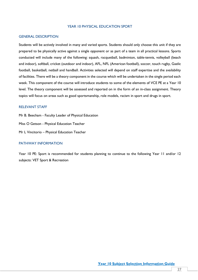## YEAR 10 PHYSICAL EDUCATION SPORT

#### GENERAL DESCRIPTION

Students will be actively involved in many and varied sports. Students should only choose this unit if they are prepared to be physically active against a single opponent or as part of a team in all practical lessons. Sports conducted will include many of the following: squash, racquetball, badminton, table-tennis, volleyball (beach and indoor), softball, cricket (outdoor and indoor), AFL, NFL (American football), soccer, touch rugby, Gaelic football, basketball, netball and handball. Activities selected will depend on staff expertise and the availability of facilities. There will be a theory component in the course which will be undertaken in the single period each week. This component of the course will introduce students to some of the elements of VCE PE at a Year 10 level. The theory component will be assessed and reported on in the form of an in-class assignment. Theory topics will focus on areas such as good sportsmanship, role models, racism in sport and drugs in sport.

#### RELEVANT STAFF

Mr B. Beecham - Faculty Leader of Physical Education Miss O Getson - Physical Education Teacher Mr L Vincitorio – Physical Education Teacher

## PATHWAY INFORMATION

Year 10 PE: Sport is recommended for students planning to continue to the following Year 11 and/or 12 subjects: VET Sport & Recreation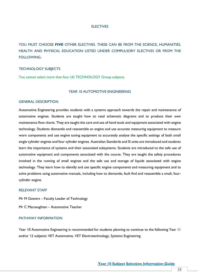#### **ELECTIVES**

YOU MUST CHOOSE **FIVE** OTHER ELECTIVES. THESE CAN BE FROM THE SCIENCE, HUMANITIES, HEALTH AND PHYSICAL EDUCATION LISTED UNDER COMPULSORY ELECTIVES OR FROM THE FOLLOWING:

## TECHNOLOGY SUBJECTS

You cannot select more than four (4) TECHNOLOGY Group subjects.

#### YEAR 10 AUTOMOTIVE ENGINEERING

#### GENERAL DESCRIPTION

Automotive Engineering provides students with a systems approach towards the repair and maintenance of automotive engines. Students are taught how to read schematic diagrams and to produce their own maintenance flow charts. They are taught the care and use of hand tools and equipment associated with engine technology. Students dismantle and reassemble an engine and use accurate measuring equipment to measure worn components and use engine tuning equipment to accurately analyse the specific settings of both small single cylinder engines and four cylinder engines. Australian Standards and SI units are introduced and students learn the importance of systems and their associated subsystems. Students are introduced to the safe use of automotive equipment and components associated with the course. They are taught the safety procedures involved in the running of small engines and the safe use and storage of liquids associated with engine technology. They learn how to identify and use specific engine components and measuring equipment and to solve problems using automotive manuals, including how to dismantle, fault find and reassemble a small, fourcylinder engine.

#### RELEVANT STAFF

Mr M Gowers – Faculty Leader of Technology Mr C Macnaughtan – Automotive Teacher

# PATHWAY INFORMATION

Year 10 Automotive Engineering is recommended for students planning to continue to the following Year 11 and/or 12 subjects: VET Automotive, VET Electrotechnology, Systems Engineering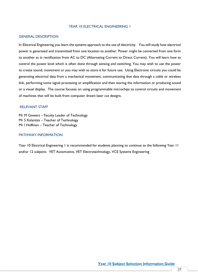## YEAR 10 ELECTRICAL ENGINEERING 1

## GENERAL DESCRIPTION

In Electrical Engineering you learn the systems approach to the use of electricity. You will study how electrical power is generated and transmitted from one location to another. Power might be converted from one form to another as in rectification from AC to DC (Alternating Current to Direct Current). You will learn how to control the power level which is often done through sensing and switching. You may wish to use the power to create sound, movement or you may wish to store it for future use. Using Electronic circuits you could be generating electrical data from a mechanical movement, communicating that data through a cable or wireless link, performing some signal processing or amplification and then storing the information or producing sound or a visual display. The course focuses on using programmable microchips to control circuits and movement of machines that will be built from computer drawn laser cut designs.

#### RELEVANT STAFF

Mr M Gowers – Faculty Leader of Technology Mr S Kalantzis – Teacher of Technology Mr I Hoffman – Teacher of Technology

## PATHWAY INFORMATION

Year 10 Electrical Engineering 1 is recommended for students planning to continue to the following Year 11 and/or 12 subjects: VET Automotive, VET Electrotechnology, VCE Systems Engineering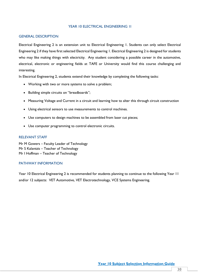## YEAR 10 ELECTRICAL ENGINEERING 1I

#### GENERAL DESCRIPTION

Electrical Engineering 2 is an extension unit to Electrical Engineering 1. Students can only select Electrical Engineering 2 if they have first selected Electrical Engineering 1. Electrical Engineering 2 is designed for students who may like making things with electricity. Any student considering a possible career in the automotive, electrical, electronic or engineering fields at TAFE or University would find this course challenging and interesting.

In Electrical Engineering 2, students extend their knowledge by completing the following tasks:

- Working with two or more systems to solve a problem;
- Building simple circuits on "breadboards";
- Measuring Voltage and Current in a circuit and learning how to alter this through circuit construction
- Using electrical sensors to use measurements to control machines.
- Use computers to design machines to be assembled from laser cut pieces;
- Use computer programming to control electronic circuits.

## RELEVANT STAFF

Mr M Gowers – Faculty Leader of Technology Mr S Kalantzis – Teacher of Technology Mr I Hoffman – Teacher of Technology

# PATHWAY INFORMATION

Year 10 Electrical Engineering 2 is recommended for students planning to continue to the following Year 11 and/or 12 subjects: VET Automotive, VET Electrotechnology, VCE Systems Engineering.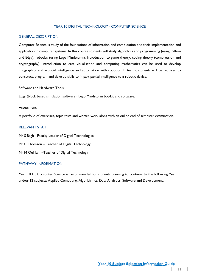## YEAR 10 DIGITAL TECHNOLOGY - COMPUTER SCIENCE

## GENERAL DESCRIPTION

Computer Science is study of the foundations of information and computation and their implementation and application in computer systems. In this course students will study algorithms and programming (using Python and Edgy), robotics (using Lego Mindstorm), introduction to game theory, coding theory (compression and cryptography), introduction to data visualisation and computing mathematics can be used to develop infographics and artificial intelligence and automation with robotics. In teams, students will be required to construct, program and develop skills to impart partial intelligence to a robotic device.

Software and Hardware Tools:

Edgy (block based simulation software), Lego Mindstorm bot-kit and software.

#### Assessment:

A portfolio of exercises, topic tests and written work along with an online end of semester examination.

#### RELEVANT STAFF

Mr S Bagh - Faculty Leader of Digital Technologies

Mr C Thomson – Teacher of Digital Technology

Mr M Quilliam –Teacher of Digital Technology

# PATHWAY INFORMATION

Year 10 IT: Computer Science is recommended for students planning to continue to the following Year 11 and/or 12 subjects: Applied Computing, Algorithmics, Data Analytics, Software and Development.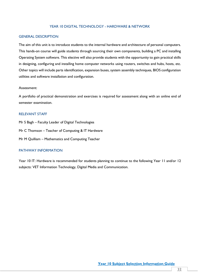## YEAR 10 DIGITAL TECHNOLOGY - HARDWARE & NETWORK

## GENERAL DESCRIPTION

The aim of this unit is to introduce students to the internal hardware and architecture of personal computers. This hands-on course will guide students through sourcing their own components, building a PC and installing Operating System software. This elective will also provide students with the opportunity to gain practical skills in designing, configuring and installing home computer networks using routers, switches and hubs, hosts, etc. Other topics will include parts identification, expansion buses, system assembly techniques, BIOS configuration utilities and software installation and configuration.

## Assessment:

A portfolio of practical demonstration and exercises is required for assessment along with an online end of semester examination.

## RELEVANT STAFF

Mr S Bagh – Faculty Leader of Digital Technologies

Mr C Thomson – Teacher of Computing & IT Hardware

Mr M Quilliam – Mathematics and Computing Teacher

## PATHWAY INFORMATION

Year 10 IT: Hardware is recommended for students planning to continue to the following Year 11 and/or 12 subjects: VET Information Technology, Digital Media and Communication.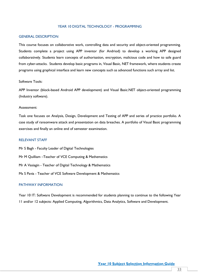## YEAR 10 DIGITAL TECHNOLOGY - PROGRAMMING

## GENERAL DESCRIPTION

This course focuses on collaborative work, controlling data and security and object-oriented programming. Students complete a project using APP inventor (for Andriod) to develop a working APP designed collaboratively. Students learn concepts of authorisation, encryption, malicious code and how to safe guard from cyber-attacks. Students develop basic programs in, Visual Basic, NET framework, where students create programs using graphical interface and learn new concepts such as advanced functions such array and list.

#### Software Tools:

APP Inventor (block-based Android APP development) and Visual Basic.NET object-oriented programming (Industry software).

#### Assessment:

Task one focuses on Analysis, Design, Development and Testing of APP and series of practice portfolio. A case study of ransomware attack and presentation on data breaches. A portfolio of Visual Basic programming exercises and finally an online end of semester examination.

## RELEVANT STAFF

Mr S Bagh - Faculty Leader of Digital Technologies Mr M Quilliam –Teacher of VCE Computing & Mathematics Mr A Vasiagin - Teacher of Digital Technology & Mathematics Ms S Pavia - Teacher of VCE Software Development & Mathematics

## PATHWAY INFORMATION

Year 10 IT: Software Development is recommended for students planning to continue to the following Year 11 and/or 12 subjects: Applied Computing, Algorithmics, Data Analytics, Software and Development.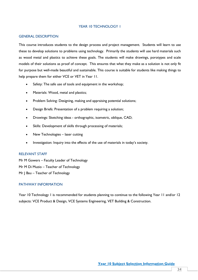## YEAR 10 TECHNOLOGY 1

#### GENERAL DESCRIPTION

This course introduces students to the design process and project management. Students will learn to use these to develop solutions to problems using technology. Primarily the students will use hard materials such as wood metal and plastics to achieve these goals. The students will make drawings, porotypes and scale models of their solutions as proof of concept. This ensures that what they make as a solution is not only fit for purpose but well-made beautiful and sustainable. This course is suitable for students like making things to help prepare them for either VCE or VET in Year 11.

- Safety: The safe use of tools and equipment in the workshop;
- Materials: Wood, metal and plastics;
- Problem Solving: Designing, making and appraising potential solutions;
- Design Briefs: Presentation of a problem requiring a solution;
- Drawings: Sketching ideas orthographic, isometric, oblique, CAD;
- Skills: Development of skills through processing of materials;
- New Technologies laser cutting
- Investigation: Inquiry into the effects of the use of materials in today's society.

## RELEVANT STAFF

Mr M Gowers – Faculty Leader of Technology Mr M Di Muzio – Teacher of Technology Mr | Bau – Teacher of Technology

# PATHWAY INFORMATION

Year 10 Technology 1 is recommended for students planning to continue to the following Year 11 and/or 12 subjects: VCE Product & Design, VCE Systems Engineering, VET Building & Construction.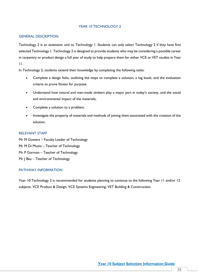# YEAR 10 TECHNOLOGY 2

## GENERAL DESCRIPTION

Technology 2 is an extension unit to Technology 1. Students can only select Technology 2 if they have first selected Technology 1. Technology 2 is designed to provide students who may be considering a possible career in carpentry or product design a full year of study to help prepare them for either VCE or VET studies in Year 11.

In Technology 2, students extend their knowledge by completing the following tasks:

- Complete a design folio, outlining the steps to complete a solution, a log book; and the evaluation criteria to prove fitness for purpose.
- Understand how natural and man-made timbers play a major part in today's society, and the social and environmental impact of the materials;
- Complete a solution to a problem;
- Investigate the property of materials and methods of joining them associated with the creation of the solution.

## RELEVANT STAFF

Mr M Gowers – Faculty Leader of Technology Mr M Di Muzio – Teacher of Technology Mr P Gorman – Teacher of Technology Mr | Bau – Teacher of Technology

# PATHWAY INFORMATION

Year 10 Technology 2 is recommended for students planning to continue to the following Year 11 and/or 12 subjects: VCE Product & Design, VCE Systems Engineering, VET Building & Construction.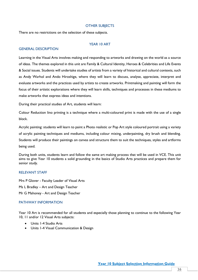## OTHER SUBJECTS

There are no restrictions on the selection of these subjects.

## YEAR 10 ART

## GENERAL DESCRIPTION

Learning in the Visual Arts involves making and responding to artworks and drawing on the world as a source of ideas. The themes explored in this unit are Family & Cultural Identity, Heroes & Celebrities and Life Events & Social issues. Students will undertake studies of artists from a variety of historical and cultural contexts, such as Andy Warhol and Ando Hiroshige, where they will learn to discuss, analyse, appreciate, interpret and evaluate artworks and the practices used by artists to create artworks. Printmaking and painting will form the focus of their artistic explorations where they will learn skills, techniques and processes in these mediums to make artworks that express ideas and intentions.

During their practical studies of Art, students will learn:

Colour Reduction lino printing is a technique where a multi-coloured print is made with the use of a single block.

Acrylic painting: students will learn to paint a Photo realistic or Pop Art style coloured portrait using a variety of acrylic painting techniques and mediums, including colour mixing, underpainting, dry brush and blending. Students will produce their paintings on canvas and structure them to suit the techniques, styles and artforms being used.

During both units, students learn and follow the same art making process that will be used in VCE. This unit aims to give Year 10 students a solid grounding in the basics of Studio Arts practices and prepare them for senior study.

## RELEVANT STAFF

Mrs P Glover - Faculty Leader of Visual Arts Ms L Bradley – Art and Design Teacher Mr G Mahoney - Art and Design Teacher

# PATHWAY INFORMATION

Year 10 Art is recommended for all students and especially those planning to continue to the following Year 10, 11 and/or 12 Visual Arts subjects:

- Units 1-4 Studio Arts
- Units 1-4 Visual Communication & Design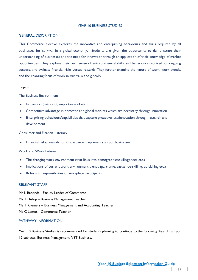#### YEAR 10 BUSINESS STUDIES

#### GENERAL DESCRIPTION

This Commerce elective explores the innovative and enterprising behaviours and skills required by all businesses for survival in a global economy. Students are given the opportunity to demonstrate their understanding of businesses and the need for innovation through an application of their knowledge of market opportunities. They explore their own sense of entrepreneurial skills and behaviours required for ongoing success, and evaluate financial risks versus rewards They further examine the nature of work, work trends, and the changing focus of work in Australia and globally.

## Topics:

The Business Environment

- Innovation (nature of, importance of etc.)
- Competitive advantage in domestic and global markets which are necessary through innovation
- Enterprising behaviours/capabilities that capture proactiveness/innovation through research and development

Consumer and Financial Literacy

• Financial risks/rewards for innovative entrepreneurs and/or businesses

## Work and Work Futures

- The changing work environment (that links into demographics/skills/gender etc.)
- Implications of current work environment trends (part-time, casual, de-skilling, up-skilling etc.)
- Roles and responsibilities of workplace participants

## RELEVANT STAFF

Mr L Rabenda - Faculty Leader of Commerce Ms T Hislop – Business Management Teacher Ms T Kremers – Business Management and Accounting Teacher Ms C Lemos - Commerce Teacher

# PATHWAY INFORMATION

Year 10 Business Studies is recommended for students planning to continue to the following Year 11 and/or 12 subjects: Business Management, VET Business.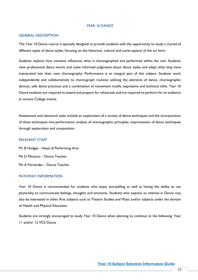## YEAR 10 DANCE

#### GENERAL DESCRIPTION

The Year 10 Dance course is specially designed to provide students with the opportunity to study a myriad of different types of dance styles, focusing on the historical, cultural and social aspects of the art form.

Students explore how contexts influences what is choreographed and performed within the unit. Students view professional dance works and make informed judgments about dance styles and adapt what they have interpreted into their own choreography. Performance is an integral part of this subject. Students work independently and collaboratively to choreograph routines utilising the elements of dance, choreographic devices, safe dance practices and a combination of movement motifs, expressive and technical skills. Year 10 Dance students are required to attend and prepare for rehearsals and are required to perform for an audience at various College events.

Assessment and classwork tasks include an exploration of a variety of dance techniques and the incorporation of these techniques into performance, analysis of choreographic principles, improvisation of dance techniques through exploration and composition.

#### RELEVANT STAFF

Mr B Hodges - Head of Performing Arts Ms D Micairan – Dance Teacher Ms A Fernandes – Dance Teacher

## PATHWAY INFORMATION

Year 10 Dance is recommended for students who enjoy storytelling as well as having the ability to use physicality to communicate feelings, thoughts and emotions. Students who express an interest in Dance may also be interested in other Arts subjects such as Theatre Studies and Music and/or subjects under the domain of Health and Physical Education.

Students are strongly encouraged to study Year 10 Dance when planning to continue to the following: Year 11 and/or 12 VCE Dance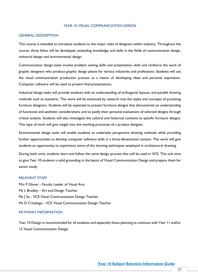## YEAR 10 VISUAL COMMUNICATION DESIGN

## GENERAL DESCRIPTION

This course is intended to introduce students to the major roles of designers within industry. Throughout the course, three folios will be developed, extending knowledge and skills in the fields of communication design, industrial design and environmental design.

Communication design tasks involve problem solving skills and presentation skills and reinforce the work of graphic designers who produce graphic design pieces for various industries and professions. Students will use the visual communication production process as a means of developing ideas and personal expression. Computer software will be used to present final presentations.

Industrial design tasks will provide students with an understanding of orthogonal layouts, and parallel drawing methods such as isometric. This work will be enhanced by research into the styles and concepts of practising furniture designers. Students will be expected to present furniture designs that demonstrate an understanding of functional and aesthetic considerations and to justify their personal evaluations of selected designs through critical analysis. Students will also investigate the cultural and historical contexts to specific furniture designs. This type of work will give insight into the working processes of a product designer.

Environmental design tasks will enable students to undertake perspective drawing methods while providing further opportunities to develop computer software skills in a three-dimensional context. This work will give students an opportunity to experience some of the drawing techniques employed in architectural drawing.

During both units, students learn and follow the same design process that will be used in VCE. This unit aims to give Year 10 students a solid grounding in the basics of Visual Communication Design and prepare them for senior study.

#### RELEVANT STAFF

Mrs P Glover - Faculty Leader of Visual Arts Ms L Bradley – Art and Design Teacher Ms | So - VCE Visual Communication Design Teacher Ms D Crisologo - VCE Visual Communication Design Teacher

## PATHWAY INFORMATION

Year 10 Design is recommended for all students and especially those planning to continue with Year 11 and/or 12 Visual Communication Design.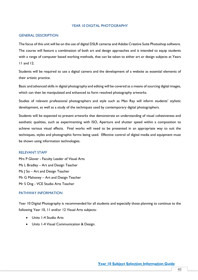## YEAR 10 DIGITAL PHOTOGRAPHY

## GENERAL DESCRIPTION

The focus of this unit will be on the use of digital DSLR cameras and Adobe Creative Suite Photoshop software. The course will feature a combination of both art and design approaches and is intended to equip students with a range of computer based working methods, that can be taken to either art or design subjects at Years 11 and 12.

Students will be required to use a digital camera and the development of a website as essential elements of their artistic practice.

Basic and advanced skills in digital photography and editing will be covered as a means of sourcing digital images, which can then be manipulated and enhanced to form resolved photography artworks.

Studies of relevant professional photographers and style such as Man Ray will inform students' stylistic development, as well as a study of the techniques used by contemporary digital photographers.

Students will be expected to present artworks that demonstrate an understanding of visual cohesiveness and aesthetic qualities, such as experimenting with ISO, Aperture and shutter speed within a composition to achieve various visual effects. Final works will need to be presented in an appropriate way to suit the techniques, styles and photographic forms being used. Effective control of digital media and equipment must be shown using information technologies.

### RELEVANT STAFF

Mrs P Glover - Faculty Leader of Visual Arts Ms L Bradley – Art and Design Teacher Ms | So – Art and Design Teacher Mr G Mahoney – Art and Design Teacher Mr S Ong - VCE Studio Arts Teacher

# PATHWAY INFORMATION

Year 10 Digital Photography is recommended for all students and especially those planning to continue to the following Year 10, 11 and/or 12 Visual Arts subjects:

- Units 1-4 Studio Arts
- Units 1-4 Visual Communication & Design.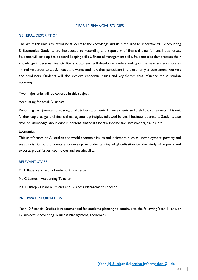## YEAR 10 FINANCIAL STUDIES

#### GENERAL DESCRIPTION

The aim of this unit is to introduce students to the knowledge and skills required to undertake VCE Accounting & Economics. Students are introduced to recording and reporting of financial data for small businesses. Students will develop basic record keeping skills & financial management skills. Students also demonstrate their knowledge in personal financial literacy. Students will develop an understanding of the ways society allocates limited resources to satisfy needs and wants, and how they participate in the economy as consumers, workers and producers. Students will also explore economic issues and key factors that influence the Australian economy.

Two major units will be covered in this subject:

Accounting for Small Business:

Recording cash journals, preparing profit & loss statements, balance sheets and cash flow statements. This unit further explores general financial management principles followed by small business operators. Students also develop knowledge about various personal financial aspects- Income tax, investments, frauds, etc.

Economics:

This unit focuses on Australian and world economic issues and indicators, such as unemployment, poverty and wealth distribution. Students also develop an understanding of globalisation i.e. the study of imports and exports, global issues, technology and sustainability.

## RELEVANT STAFF

Mr L Rabenda - Faculty Leader of Commerce

Ms C Lemos - Accounting Teacher

Ms T Hislop - Financial Studies and Business Management Teacher

## PATHWAY INFORMATION

Year 10 Financial Studies is recommended for students planning to continue to the following Year 11 and/or 12 subjects: Accounting, Business Management, Economics.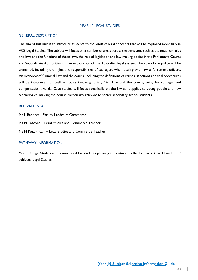## YEAR 10 LEGAL STUDIES

## GENERAL DESCRIPTION

The aim of this unit is to introduce students to the kinds of legal concepts that will be explored more fully in VCE Legal Studies. The subject will focus on a number of areas across the semester, such as the need for rules and laws and the functions of those laws, the role of legislation and law-making bodies in the Parliament, Courts and Subordinate Authorities and an exploration of the Australian legal system. The role of the police will be examined, including the rights and responsibilities of teenagers when dealing with law enforcement officers. An overview of Criminal Law and the courts, including the definitions of crimes, sanctions and trial procedures will be introduced, as well as topics involving juries, Civil Law and the courts, suing for damages and compensation awards. Case studies will focus specifically on the law as it applies to young people and new technologies, making the course particularly relevant to senior secondary school students.

## RELEVANT STAFF

Mr L Rabenda - Faculty Leader of Commerce Ms M Tascone – Legal Studies and Commerce Teacher Ms M Pezzi-Incani – Legal Studies and Commerce Teacher

#### PATHWAY INFORMATION

Year 10 Legal Studies is recommended for students planning to continue to the following Year 11 and/or 12 subjects: Legal Studies.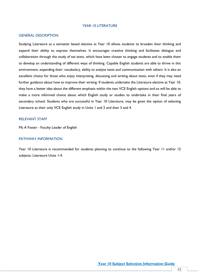#### YEAR 10 LITERATURE

#### GENERAL DESCRIPTION

Studying Literature as a semester based elective at Year 10 allows students to broaden their thinking and expand their ability to express themselves. It encourages creative thinking and facilitates dialogue and collaboration through the study of set texts, which have been chosen to engage students and to enable them to develop an understanding of different ways of thinking. Capable English students are able to thrive in this environment, expanding their: vocabulary, ability to analyse texts and communication with others. It is also an excellent choice for those who enjoy interpreting, discussing and writing about texts, even if they may need further guidance about how to improve their writing. If students undertake the Literature elective at Year 10, they have a better idea about the different emphasis within the two VCE English options and so will be able to make a more informed choice about which English study or studies to undertake in their final years of secondary school. Students who are successful in Year 10 Literature, may be given the option of selecting Literature as their only VCE English study in Units 1 and 2 and then 3 and 4.

## RELEVANT STAFF

Ms A Foster - Faculty Leader of English

# PATHWAY INFORMATION

Year 10 Literature is recommended for students planning to continue to the following Year 11 and/or 12 subjects: Literature Units 1-4.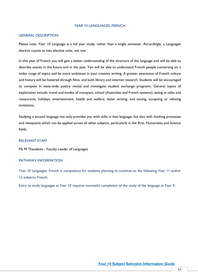## YFAR 10 LANGUAGES: FRENCH

#### GENERAL DESCRIPTION

Please note: Year 10 Language is a full year study, rather than a single semester. Accordingly, a Languages elective counts as two elective units, not one.

In this year of French you will gain a better understanding of the structure of the language and will be able to describe events in the future and in the past. You will be able to understand French people conversing on a wider range of topics and be more ambitious in your creative writing. A greater awareness of French culture and history will be fostered through films, and both library and internet research. Students will be encouraged to compete in state-wide poetry recital and investigate student exchange programs. General topics of exploration include: travel and modes of transport, school (Australian and French systems), eating at cafes and restaurants, holidays, entertainment, health and welfare, letter writing, and issuing, accepting or refusing invitations.

Studying a second language not only provides you with skills in that language, but also with thinking processes and viewpoints which can be applied across all other subjects, particularly in the Arts, Humanities and Science fields.

## RELEVANT STAFF

Ms M Theodosis - Faculty Leader of Languages

#### PATHWAY INFORMATION

Year 10 Languages: French is compulsory for students planning to continue to the following Year 11 and/or 12 subjects: French.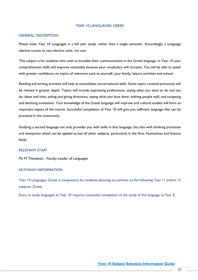#### YEAR 10 LANGUAGES: GREEK

#### GENERAL DESCRIPTION

Please note: Year 10 Languages is a full year study, rather than a single semester. Accordingly, a Language elective counts as two elective units, not one.

This subject is for students who wish to broaden their communication in the Greek language. In Year 10 your comprehension skills will improve noticeably because your vocabulary will increase. You will be able to speak with greater confidence on topics of relevance such as yourself, your family, leisure activities and school.

Reading and writing activities will help to consolidate conversational skills. Some topics covered previously will be revised in greater depth. Topics will include expressing preferences, saying what you want to do and can do, dates and time, asking and giving directions, saying what you have done, wishing people well, and accepting and declining invitations. Your knowledge of the Greek language will improve and cultural studies will form an important aspect of the course. Successful completion of Year 10 will give you sufficient language that can be practised in the community.

Studying a second language not only provides you with skills in that language, but also with thinking processes and viewpoints which can be applied across all other subjects, particularly in the Arts, Humanities and Science fields.

## RELEVANT STAFF

Ms M Theodosis - Faculty Leader of Languages

#### PATHWAY INFORMATION

Year 10 Languages: Greek is compulsory for students planning to continue to the following Year 11 and/or 12 subjects: Greek.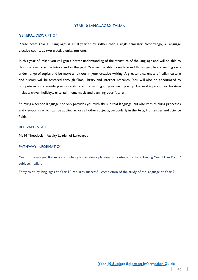### YEAR 10 LANGUAGES: ITALIAN

## GENERAL DESCRIPTION

Please note: Year 10 Languages is a full year study, rather than a single semester. Accordingly, a Language elective counts as two elective units, not one.

In this year of Italian you will gain a better understanding of the structure of the language and will be able to describe events in the future and in the past. You will be able to understand Italian people conversing on a wider range of topics and be more ambitious in your creative writing. A greater awareness of Italian culture and history will be fostered through films, library and internet research. You will also be encouraged to compete in a state-wide poetry recital and the writing of your own poetry. General topics of exploration include: travel, holidays, entertainment, music and planning your future.

Studying a second language not only provides you with skills in that language, but also with thinking processes and viewpoints which can be applied across all other subjects, particularly in the Arts, Humanities and Science fields.

## RELEVANT STAFF

Ms M Theodosis - Faculty Leader of Languages

#### PATHWAY INFORMATION

Year 10 Languages: Italian is compulsory for students planning to continue to the following Year 11 and/or 12 subjects: Italian.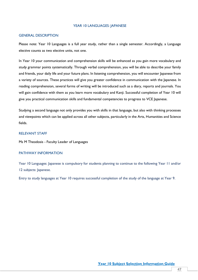#### YEAR 10 LANGUAGES: JAPANESE

## GENERAL DESCRIPTION

Please note: Year 10 Languages is a full year study, rather than a single semester. Accordingly, a Language elective counts as two elective units, not one.

In Year 10 your communication and comprehension skills will be enhanced as you gain more vocabulary and study grammar points systematically. Through verbal comprehension, you will be able to describe your family and friends, your daily life and your future plans. In listening comprehension, you will encounter Japanese from a variety of sources. These practices will give you greater confidence in communication with the Japanese. In reading comprehension, several forms of writing will be introduced such as a diary, reports and journals. You will gain confidence with them as you learn more vocabulary and Kanji. Successful completion of Year 10 will give you practical communication skills and fundamental competencies to progress to VCE Japanese.

Studying a second language not only provides you with skills in that language, but also with thinking processes and viewpoints which can be applied across all other subjects, particularly in the Arts, Humanities and Science fields.

## RELEVANT STAFF

Ms M Theodosis - Faculty Leader of Languages

## PATHWAY INFORMATION

Year 10 Languages: Japanese is compulsory for students planning to continue to the following Year 11 and/or 12 subjects: Japanese.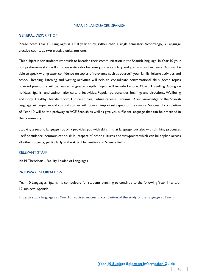### YEAR 10 LANGUAGES: SPANISH

#### GENERAL DESCRIPTION

Please note: Year 10 Languages is a full year study, rather than a single semester. Accordingly, a Language elective counts as two elective units, not one.

This subject is for students who wish to broaden their communication in the Spanish language. In Year 10 your comprehension skills will improve noticeably because your vocabulary and grammar will increase. You will be able to speak with greater confidence on topics of relevance such as yourself, your family, leisure activities and school. Reading, listening and writing activities will help to consolidate conversational skills. Some topics covered previously will be revised in greater depth. Topics will include Leisure, Music, Travelling, Going on holidays, Spanish and Latino major cultural festivities, Popular personalities, bearings and directions, Wellbeing and Body, Healthy lifestyle, Sport, Future studies, Future careers, Dreams. Your knowledge of the Spanish language will improve and cultural studies will form an important aspect of the course. Successful completion of Year 10 will be the pathway to VCE Spanish as well as give you sufficient language that can be practised in the community.

Studying a second language not only provides you with skills in that language, but also with thinking processes , self confidence, communication-skills, respect of other cultures and viewpoints which can be applied across all other subjects, particularly in the Arts, Humanities and Science fields.

## RELEVANT STAFF

Ms M Theodosis - Faculty Leader of Languages

## PATHWAY INFORMATION

Year 10 Languages: Spanish is compulsory for students planning to continue to the following Year 11 and/or 12 subjects: Spanish.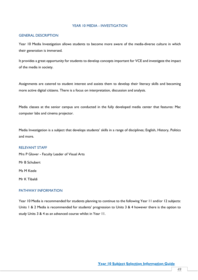## YEAR 10 MEDIA - INVESTIGATION

## GENERAL DESCRIPTION

Year 10 Media Investigation allows students to become more aware of the media-diverse culture in which their generation is immersed.

It provides a great opportunity for students to develop concepts important for VCE and investigate the impact of the media in society.

Assignments are catered to student interest and assists them to develop their literacy skills and becoming more active digital citizens. There is a focus on interpretation, discussion and analysis.

Media classes at the senior campus are conducted in the fully developed media center that features: Mac computer labs and cinema projector.

Media Investigation is a subject that develops students' skills in a range of disciplines; English, History, Politics and more.

## RELEVANT STAFF

Mrs P Glover - Faculty Leader of Visual Arts Mr B Schubert Ms M Keele Mr K Tibaldi

# PATHWAY INFORMATION

Year 10 Media is recommended for students planning to continue to the following Year 11 and/or 12 subjects: Units 1 & 2 Media is recommended for students' progression to Units 3 & 4 however there is the option to study Units 3 & 4 as an advanced course whilst in Year 11.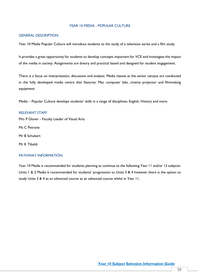## YEAR 10 MEDIA - POPULAR CULTURE

# GENERAL DESCRIPTION

Year 10 Media Popular Culture will introduce students to the study of a television series and a film study.

It provides a great opportunity for students to develop concepts important for VCE and investigate the impact of the media in society. Assignments are theory and practical based and designed for student engagement.

There is a focus on interpretation, discussion and analysis. Media classes at the senior campus are conducted in the fully developed media centre that features: Mac computer labs, cinema projector and filmmaking equipment.

Media – Popular Culture develops students' skills in a range of disciplines; English, History and more.

#### RELEVANT STAFF

Mrs P Glover - Faculty Leader of Visual Arts

Ms C Petrone

Mr B Schubert

Mr K Tibaldi

## PATHWAY INFORMATION

Year 10 Media is recommended for students planning to continue to the following Year 11 and/or 12 subjects: Units 1 & 2 Media is recommended for students' progression to Units 3 & 4 however there is the option to study Units 3 & 4 as an advanced course as an advanced course whilst in Year 11.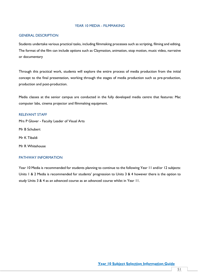## YEAR 10 MEDIA - FILMMAKING

# GENERAL DESCRIPTION

Students undertake various practical tasks, including filmmaking processes such as scripting, filming and editing. The format of the film can include options such as Claymation, animation, stop motion, music video, narrative or documentary

Through this practical work, students will explore the entire process of media production from the initial concept to the final presentation, working through the stages of media production such as pre-production, production and post-production.

Media classes at the senior campus are conducted in the fully developed media centre that features: Mac computer labs, cinema projector and filmmaking equipment.

## RELEVANT STAFF

Mrs P Glover - Faculty Leader of Visual Arts

Mr B Schubert

Mr K Tibaldi

Mr R Whitehouse

## PATHWAY INFORMATION

Year 10 Media is recommended for students planning to continue to the following Year 11 and/or 12 subjects: Units 1 & 2 Media is recommended for students' progression to Units 3 & 4 however there is the option to study Units 3 & 4 as an advanced course as an advanced course whilst in Year 11.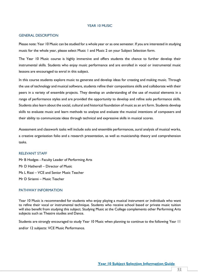#### YEAR 10 MUSIC

#### GENERAL DESCRIPTION

Please note: Year 10 Music can be studied for a whole year or as one semester. If you are interested in studying music for the whole year, please select Music 1 and Music 2 on your Subject Selection form.

The Year 10 Music course is highly immersive and offers students the chance to further develop their instrumental skills. Students who enjoy music performance and are enrolled in vocal or instrumental music lessons are encouraged to enrol in this subject.

In this course students explore music to generate and develop ideas for creating and making music. Through the use of technology and musical software, students refine their compositions skills and collaborate with their peers in a variety of ensemble projects. They develop an understanding of the use of musical elements in a range of performance styles and are provided the opportunity to develop and refine solo performance skills. Students also learn about the social, cultural and historical foundation of music as an art form. Students develop skills to evaluate music and learn methods to analyse and evaluate the musical intentions of composers and their ability to communicate ideas through technical and expressive skills in musical scores.

Assessment and classwork tasks will include solo and ensemble performances, aural analysis of musical works, a creative organisation folio and a research presentation, as well as musicianship theory and comprehension tasks.

## RELEVANT STAFF

Mr B Hodges - Faculty Leader of Performing Arts Mr D Hatherell – Director of Music Ms L Rizzi – VCE and Senior Music Teacher Mr D Sirianni – Music Teacher

#### PATHWAY INFORMATION

Year 10 Music is recommended for students who enjoy playing a musical instrument or individuals who want to refine their vocal or instrumental technique. Students who receive school based or private music tuition will also benefit from studying this subject. Studying Music at the College complements other Performing Arts subjects such as Theatre studies and Dance.

Students are strongly encouraged to study Year 10 Music when planning to continue to the following Year 11 and/or 12 subjects: VCE Music Performance.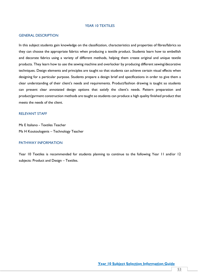### YEAR 10 TEXTILES

## GENERAL DESCRIPTION

In this subject students gain knowledge on the classification, characteristics and properties of fibres/fabrics so they can choose the appropriate fabrics when producing a textile product. Students learn how to embellish and decorate fabrics using a variety of different methods, helping them create original and unique textile products. They learn how to use the sewing machine and overlocker by producing different sewing/decorative techniques. Design elements and principles are taught so that students can achieve certain visual effects when designing for a particular purpose. Students prepare a design brief and specifications in order to give them a clear understanding of their client's needs and requirements. Product/fashion drawing is taught so students can present clear annotated design options that satisfy the client's needs. Pattern preparation and product/garment construction methods are taught so students can produce a high quality finished product that meets the needs of the client.

## RELEVANT STAFF

Ms E Italiano - Textiles Teacher Ms H Koutoulogenis – Technology Teacher

#### PATHWAY INFORMATION

Year 10 Textiles is recommended for students planning to continue to the following Year 11 and/or 12 subjects: Product and Design – Textiles.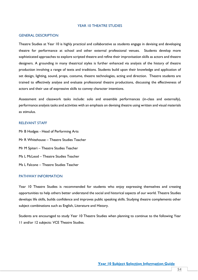#### YEAR 10 THEATRE STUDIES

## GENERAL DESCRIPTION

Theatre Studies at Year 10 is highly practical and collaborative as students engage in devising and developing theatre for performance at school and other external professional venues. Students develop more sophisticated approaches to explore scripted theatre and refine their improvisation skills as actors and theatre designers. A grounding in many theatrical styles is further enhanced via analysis of the history of theatre production involving a range of texts and traditions. Students build upon their knowledge and application of set design, lighting, sound, props, costume, theatre technologies, acting and direction. Theatre students are trained to effectively analyse and evaluate professional theatre productions, discussing the effectiveness of actors and their use of expressive skills to convey character intentions.

Assessment and classwork tasks include: solo and ensemble performances (in-class and externally), performance analysis tasks and activities with an emphasis on devising theatre using written and visual materials as stimulus.

## RELEVANT STAFF

Mr B Hodges - Head of Performing Arts Mr R Whitehouse – Theatre Studies Teacher Mr M Spiteri – Theatre Studies Teacher Ms L McLeod – Theatre Studies Teacher Ms L Falcone – Theatre Studies Teacher

## PATHWAY INFORMATION

Year 10 Theatre Studies is recommended for students who enjoy expressing themselves and creating opportunities to help others better understand the social and historical aspects of our world. Theatre Studies develops life skills, builds confidence and improves public speaking skills. Studying theatre complements other subject combinations such as English, Literature and History.

Students are encouraged to study Year 10 Theatre Studies when planning to continue to the following Year 11 and/or 12 subjects: VCE Theatre Studies.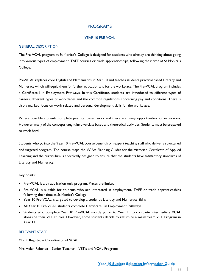# PROGRAMS

# YEAR 10 PRE-VCAL

## GENERAL DESCRIPTION

The Pre-VCAL program at St Monica's College is designed for students who already are thinking about going into various types of employment, TAFE courses or trade apprenticeships, following their time at St Monica's College.

Pre-VCAL replaces core English and Mathematics in Year 10 and teaches students practical based Literacy and Numeracy which will equip them for further education and for the workplace. The Pre-VCAL program includes a Certificate I in Employment Pathways. In this Certificate, students are introduced to different types of careers, different types of workplaces and the common regulations concerning pay and conditions. There is also a marked focus on work related and personal development skills for the workplace.

Where possible students complete practical based work and there are many opportunities for excursions. However, many of the concepts taught involve class based and theoretical activities. Students must be prepared to work hard.

Students who go into the Year 10 Pre-VCAL course benefit from expert teaching staff who deliver a structured and targeted program. The course maps the VCAA Planning Guides for the Victorian Certificate of Applied Learning and the curriculum is specifically designed to ensure that the students have satisfactory standards of Literacy and Numeracy.

## Key points:

- Pre-VCAL is a by application only program. Places are limited.
- Pre-VCAL is suitable for students who are interested in employment, TAFE or trade apprenticeships following their time at St Monica's College
- Year 10 Pre-VCAL is targeted to develop a student's Literacy and Numeracy Skills
- All Year 10 Pre-VCAL students complete Certificate I in Employment Pathways
- Students who complete Year 10 Pre-VCAL mostly go on to Year 11 to complete Intermediate VCAL alongside their VET studies. However, some students decide to return to a mainstream VCE Program in Year 11.

# RELEVANT STAFF

Mrs K Registro – Coordinator of VCAL

Mrs Helen Rabenda – Senior Teacher – VETis and VCAL Programs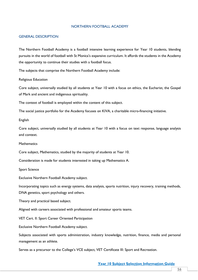#### NORTHERN FOOTBALL ACADEMY

#### GENERAL DESCRIPTION

The Northern Football Academy is a football intensive learning experience for Year 10 students, blending pursuits in the world of football with St Monica's expansive curriculum. It affords the students in the Academy the opportunity to continue their studies with a football focus.

The subjects that comprise the Northern Football Academy include:

Religious Education

Core subject, universally studied by all students at Year 10 with a focus on ethics, the Eucharist, the Gospel of Mark and ancient and indigenous spirituality.

The context of football is employed within the content of this subject.

The social justice portfolio for the Academy focuses on KIVA, a charitable micro-financing initiative.

English

Core subject, universally studied by all students at Year 10 with a focus on text response, language analysis and context.

**Mathematics** 

Core subject, Mathematics, studied by the majority of students at Year 10.

Consideration is made for students interested in taking up Mathematics A.

Sport Science

Exclusive Northern Football Academy subject.

Incorporating topics such as energy systems, data analysis, sports nutrition, injury recovery, training methods, DNA genetics, sport psychology and others.

Theory and practical based subject.

Aligned with careers associated with professional and amateur sports teams.

VET Cert. II: Sport Career Oriented Participation

Exclusive Northern Football Academy subject.

Subjects associated with sports administration, industry knowledge, nutrition, finance, media and personal management as an athlete.

Serves as a precursor to the College's VCE subject, VET Certificate III: Sport and Recreation.

**Year 10 Subject Selection Information Guide**